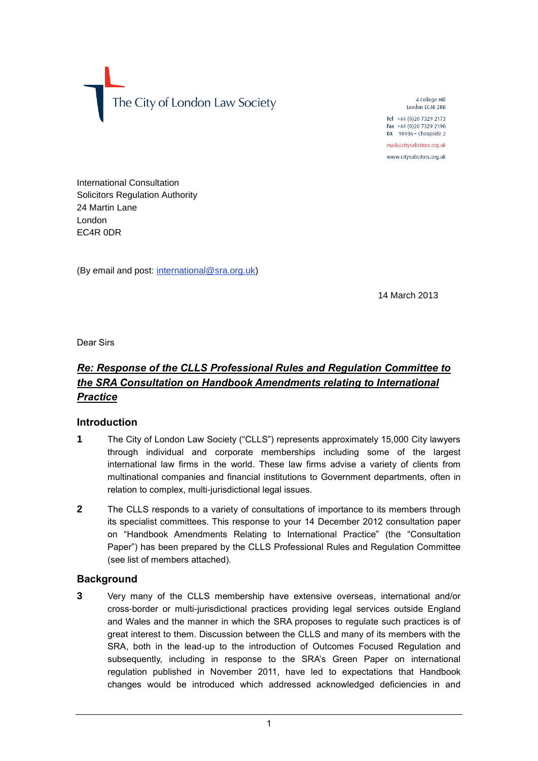The City of London Law Society

4 College Hill London EC4R 2RB Tel +44 (0) 20 7329 2173 Fax +44 (0)20 7329 2190 DX 98936 - Cheapside 2 mail@citysolicitors.org.uk

www.citysolicitors.org.uk

International Consultation Solicitors Regulation Authority 24 Martin Lane London EC4R 0DR

(By email and post: [international@sra.org.uk\)](mailto:international@sra.org.uk)

14 March 2013

Dear Sirs

# *Re: Response of the CLLS Professional Rules and Regulation Committee to the SRA Consultation on Handbook Amendments relating to International Practice*

### **Introduction**

- **1** The City of London Law Society ("CLLS") represents approximately 15,000 City lawyers through individual and corporate memberships including some of the largest international law firms in the world. These law firms advise a variety of clients from multinational companies and financial institutions to Government departments, often in relation to complex, multi-jurisdictional legal issues.
- **2** The CLLS responds to a variety of consultations of importance to its members through its specialist committees. This response to your 14 December 2012 consultation paper on "Handbook Amendments Relating to International Practice" (the "Consultation Paper") has been prepared by the CLLS Professional Rules and Regulation Committee (see list of members attached).

### **Background**

**3** Very many of the CLLS membership have extensive overseas, international and/or cross-border or multi-jurisdictional practices providing legal services outside England and Wales and the manner in which the SRA proposes to regulate such practices is of great interest to them. Discussion between the CLLS and many of its members with the SRA, both in the lead-up to the introduction of Outcomes Focused Regulation and subsequently, including in response to the SRA's Green Paper on international regulation published in November 2011, have led to expectations that Handbook changes would be introduced which addressed acknowledged deficiencies in and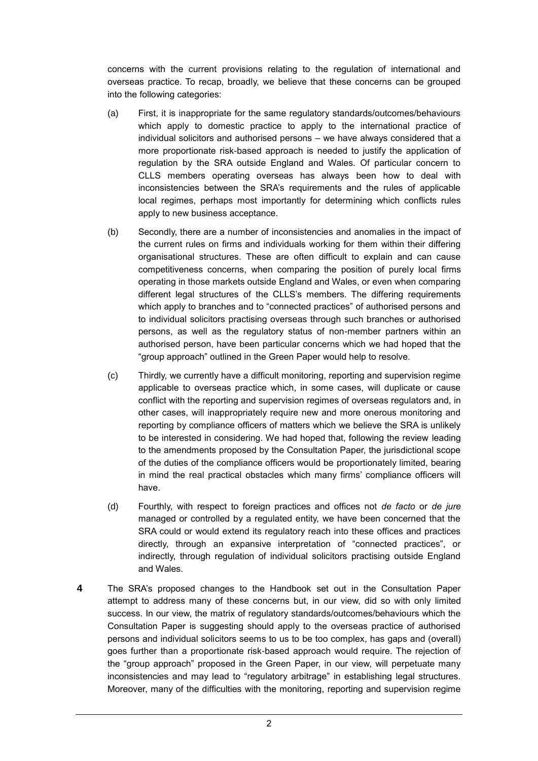concerns with the current provisions relating to the regulation of international and overseas practice. To recap, broadly, we believe that these concerns can be grouped into the following categories:

- (a) First, it is inappropriate for the same regulatory standards/outcomes/behaviours which apply to domestic practice to apply to the international practice of individual solicitors and authorised persons – we have always considered that a more proportionate risk-based approach is needed to justify the application of regulation by the SRA outside England and Wales. Of particular concern to CLLS members operating overseas has always been how to deal with inconsistencies between the SRA's requirements and the rules of applicable local regimes, perhaps most importantly for determining which conflicts rules apply to new business acceptance.
- (b) Secondly, there are a number of inconsistencies and anomalies in the impact of the current rules on firms and individuals working for them within their differing organisational structures. These are often difficult to explain and can cause competitiveness concerns, when comparing the position of purely local firms operating in those markets outside England and Wales, or even when comparing different legal structures of the CLLS's members. The differing requirements which apply to branches and to "connected practices" of authorised persons and to individual solicitors practising overseas through such branches or authorised persons, as well as the regulatory status of non-member partners within an authorised person, have been particular concerns which we had hoped that the "group approach" outlined in the Green Paper would help to resolve.
- (c) Thirdly, we currently have a difficult monitoring, reporting and supervision regime applicable to overseas practice which, in some cases, will duplicate or cause conflict with the reporting and supervision regimes of overseas regulators and, in other cases, will inappropriately require new and more onerous monitoring and reporting by compliance officers of matters which we believe the SRA is unlikely to be interested in considering. We had hoped that, following the review leading to the amendments proposed by the Consultation Paper, the jurisdictional scope of the duties of the compliance officers would be proportionately limited, bearing in mind the real practical obstacles which many firms' compliance officers will have.
- (d) Fourthly, with respect to foreign practices and offices not *de facto* or *de jure* managed or controlled by a regulated entity, we have been concerned that the SRA could or would extend its regulatory reach into these offices and practices directly, through an expansive interpretation of "connected practices", or indirectly, through regulation of individual solicitors practising outside England and Wales.
- **4** The SRA's proposed changes to the Handbook set out in the Consultation Paper attempt to address many of these concerns but, in our view, did so with only limited success. In our view, the matrix of regulatory standards/outcomes/behaviours which the Consultation Paper is suggesting should apply to the overseas practice of authorised persons and individual solicitors seems to us to be too complex, has gaps and (overall) goes further than a proportionate risk-based approach would require. The rejection of the "group approach" proposed in the Green Paper, in our view, will perpetuate many inconsistencies and may lead to "regulatory arbitrage" in establishing legal structures. Moreover, many of the difficulties with the monitoring, reporting and supervision regime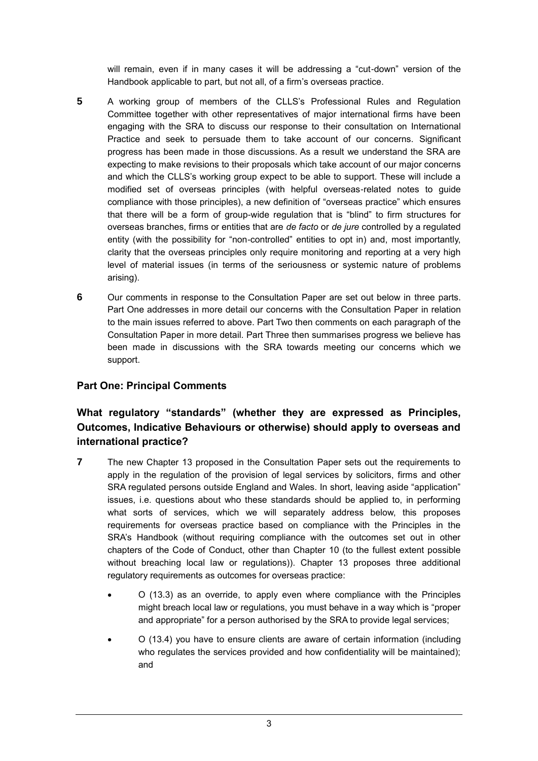will remain, even if in many cases it will be addressing a "cut-down" version of the Handbook applicable to part, but not all, of a firm's overseas practice.

- **5** A working group of members of the CLLS's Professional Rules and Regulation Committee together with other representatives of major international firms have been engaging with the SRA to discuss our response to their consultation on International Practice and seek to persuade them to take account of our concerns. Significant progress has been made in those discussions. As a result we understand the SRA are expecting to make revisions to their proposals which take account of our major concerns and which the CLLS's working group expect to be able to support. These will include a modified set of overseas principles (with helpful overseas-related notes to guide compliance with those principles), a new definition of "overseas practice" which ensures that there will be a form of group-wide regulation that is "blind" to firm structures for overseas branches, firms or entities that are *de facto* or *de jure* controlled by a regulated entity (with the possibility for "non-controlled" entities to opt in) and, most importantly, clarity that the overseas principles only require monitoring and reporting at a very high level of material issues (in terms of the seriousness or systemic nature of problems arising).
- **6** Our comments in response to the Consultation Paper are set out below in three parts. Part One addresses in more detail our concerns with the Consultation Paper in relation to the main issues referred to above. Part Two then comments on each paragraph of the Consultation Paper in more detail. Part Three then summarises progress we believe has been made in discussions with the SRA towards meeting our concerns which we support.

## **Part One: Principal Comments**

# **What regulatory "standards" (whether they are expressed as Principles, Outcomes, Indicative Behaviours or otherwise) should apply to overseas and international practice?**

- **7** The new Chapter 13 proposed in the Consultation Paper sets out the requirements to apply in the regulation of the provision of legal services by solicitors, firms and other SRA regulated persons outside England and Wales. In short, leaving aside "application" issues, i.e. questions about who these standards should be applied to, in performing what sorts of services, which we will separately address below, this proposes requirements for overseas practice based on compliance with the Principles in the SRA's Handbook (without requiring compliance with the outcomes set out in other chapters of the Code of Conduct, other than Chapter 10 (to the fullest extent possible without breaching local law or regulations)). Chapter 13 proposes three additional regulatory requirements as outcomes for overseas practice:
	- O (13.3) as an override, to apply even where compliance with the Principles might breach local law or regulations, you must behave in a way which is "proper and appropriate" for a person authorised by the SRA to provide legal services;
	- O (13.4) you have to ensure clients are aware of certain information (including who regulates the services provided and how confidentiality will be maintained); and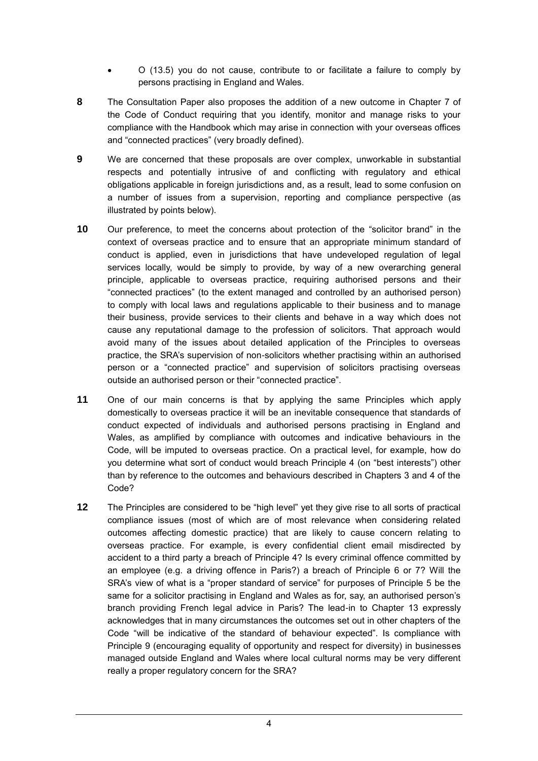- O (13.5) you do not cause, contribute to or facilitate a failure to comply by persons practising in England and Wales.
- **8** The Consultation Paper also proposes the addition of a new outcome in Chapter 7 of the Code of Conduct requiring that you identify, monitor and manage risks to your compliance with the Handbook which may arise in connection with your overseas offices and "connected practices" (very broadly defined).
- **9** We are concerned that these proposals are over complex, unworkable in substantial respects and potentially intrusive of and conflicting with regulatory and ethical obligations applicable in foreign jurisdictions and, as a result, lead to some confusion on a number of issues from a supervision, reporting and compliance perspective (as illustrated by points below).
- **10** Our preference, to meet the concerns about protection of the "solicitor brand" in the context of overseas practice and to ensure that an appropriate minimum standard of conduct is applied, even in jurisdictions that have undeveloped regulation of legal services locally, would be simply to provide, by way of a new overarching general principle, applicable to overseas practice, requiring authorised persons and their "connected practices" (to the extent managed and controlled by an authorised person) to comply with local laws and regulations applicable to their business and to manage their business, provide services to their clients and behave in a way which does not cause any reputational damage to the profession of solicitors. That approach would avoid many of the issues about detailed application of the Principles to overseas practice, the SRA's supervision of non-solicitors whether practising within an authorised person or a "connected practice" and supervision of solicitors practising overseas outside an authorised person or their "connected practice".
- **11** One of our main concerns is that by applying the same Principles which apply domestically to overseas practice it will be an inevitable consequence that standards of conduct expected of individuals and authorised persons practising in England and Wales, as amplified by compliance with outcomes and indicative behaviours in the Code, will be imputed to overseas practice. On a practical level, for example, how do you determine what sort of conduct would breach Principle 4 (on "best interests") other than by reference to the outcomes and behaviours described in Chapters 3 and 4 of the Code?
- **12** The Principles are considered to be "high level" yet they give rise to all sorts of practical compliance issues (most of which are of most relevance when considering related outcomes affecting domestic practice) that are likely to cause concern relating to overseas practice. For example, is every confidential client email misdirected by accident to a third party a breach of Principle 4? Is every criminal offence committed by an employee (e.g. a driving offence in Paris?) a breach of Principle 6 or 7? Will the SRA's view of what is a "proper standard of service" for purposes of Principle 5 be the same for a solicitor practising in England and Wales as for, say, an authorised person's branch providing French legal advice in Paris? The lead-in to Chapter 13 expressly acknowledges that in many circumstances the outcomes set out in other chapters of the Code "will be indicative of the standard of behaviour expected". Is compliance with Principle 9 (encouraging equality of opportunity and respect for diversity) in businesses managed outside England and Wales where local cultural norms may be very different really a proper regulatory concern for the SRA?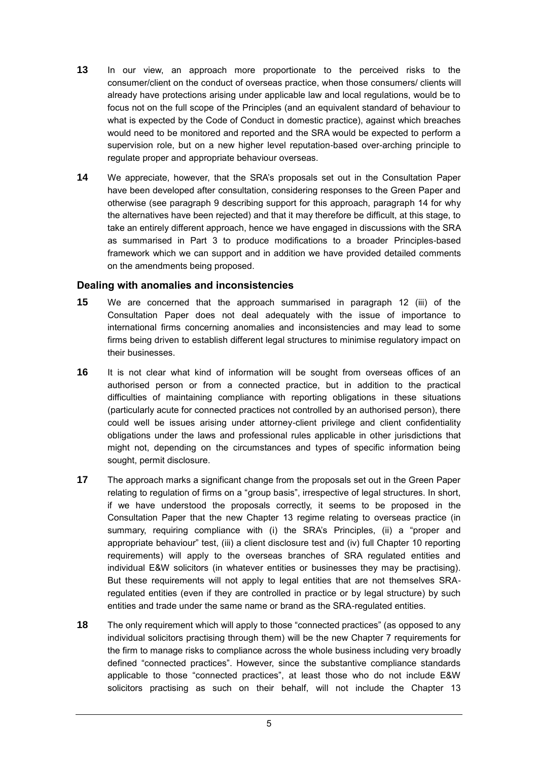- **13** In our view, an approach more proportionate to the perceived risks to the consumer/client on the conduct of overseas practice, when those consumers/ clients will already have protections arising under applicable law and local regulations, would be to focus not on the full scope of the Principles (and an equivalent standard of behaviour to what is expected by the Code of Conduct in domestic practice), against which breaches would need to be monitored and reported and the SRA would be expected to perform a supervision role, but on a new higher level reputation-based over-arching principle to regulate proper and appropriate behaviour overseas.
- **14** We appreciate, however, that the SRA's proposals set out in the Consultation Paper have been developed after consultation, considering responses to the Green Paper and otherwise (see paragraph 9 describing support for this approach, paragraph 14 for why the alternatives have been rejected) and that it may therefore be difficult, at this stage, to take an entirely different approach, hence we have engaged in discussions with the SRA as summarised in Part 3 to produce modifications to a broader Principles-based framework which we can support and in addition we have provided detailed comments on the amendments being proposed.

#### **Dealing with anomalies and inconsistencies**

- **15** We are concerned that the approach summarised in paragraph 12 (iii) of the Consultation Paper does not deal adequately with the issue of importance to international firms concerning anomalies and inconsistencies and may lead to some firms being driven to establish different legal structures to minimise regulatory impact on their businesses.
- **16** It is not clear what kind of information will be sought from overseas offices of an authorised person or from a connected practice, but in addition to the practical difficulties of maintaining compliance with reporting obligations in these situations (particularly acute for connected practices not controlled by an authorised person), there could well be issues arising under attorney-client privilege and client confidentiality obligations under the laws and professional rules applicable in other jurisdictions that might not, depending on the circumstances and types of specific information being sought, permit disclosure.
- **17** The approach marks a significant change from the proposals set out in the Green Paper relating to regulation of firms on a "group basis", irrespective of legal structures. In short, if we have understood the proposals correctly, it seems to be proposed in the Consultation Paper that the new Chapter 13 regime relating to overseas practice (in summary, requiring compliance with (i) the SRA's Principles, (ii) a "proper and appropriate behaviour" test, (iii) a client disclosure test and (iv) full Chapter 10 reporting requirements) will apply to the overseas branches of SRA regulated entities and individual E&W solicitors (in whatever entities or businesses they may be practising). But these requirements will not apply to legal entities that are not themselves SRAregulated entities (even if they are controlled in practice or by legal structure) by such entities and trade under the same name or brand as the SRA-regulated entities.
- **18** The only requirement which will apply to those "connected practices" (as opposed to any individual solicitors practising through them) will be the new Chapter 7 requirements for the firm to manage risks to compliance across the whole business including very broadly defined "connected practices". However, since the substantive compliance standards applicable to those "connected practices", at least those who do not include E&W solicitors practising as such on their behalf, will not include the Chapter 13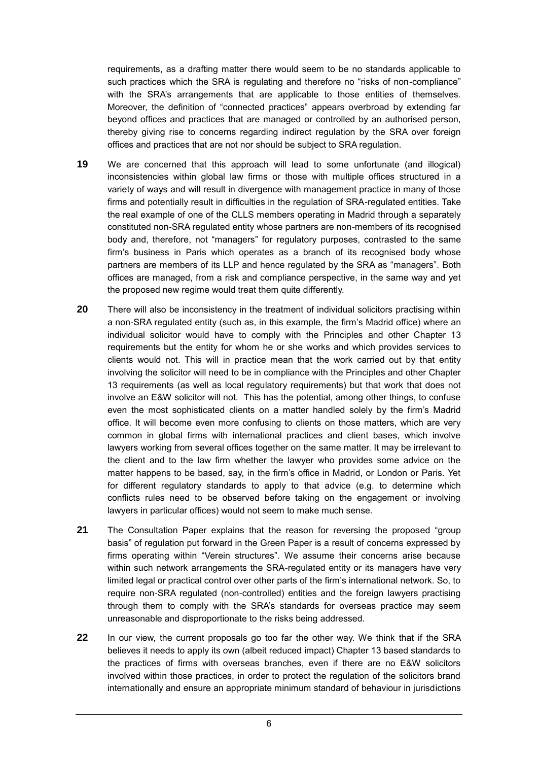requirements, as a drafting matter there would seem to be no standards applicable to such practices which the SRA is regulating and therefore no "risks of non-compliance" with the SRA's arrangements that are applicable to those entities of themselves. Moreover, the definition of "connected practices" appears overbroad by extending far beyond offices and practices that are managed or controlled by an authorised person, thereby giving rise to concerns regarding indirect regulation by the SRA over foreign offices and practices that are not nor should be subject to SRA regulation.

- **19** We are concerned that this approach will lead to some unfortunate (and illogical) inconsistencies within global law firms or those with multiple offices structured in a variety of ways and will result in divergence with management practice in many of those firms and potentially result in difficulties in the regulation of SRA-regulated entities. Take the real example of one of the CLLS members operating in Madrid through a separately constituted non-SRA regulated entity whose partners are non-members of its recognised body and, therefore, not "managers" for regulatory purposes, contrasted to the same firm's business in Paris which operates as a branch of its recognised body whose partners are members of its LLP and hence regulated by the SRA as "managers". Both offices are managed, from a risk and compliance perspective, in the same way and yet the proposed new regime would treat them quite differently.
- **20** There will also be inconsistency in the treatment of individual solicitors practising within a non-SRA regulated entity (such as, in this example, the firm's Madrid office) where an individual solicitor would have to comply with the Principles and other Chapter 13 requirements but the entity for whom he or she works and which provides services to clients would not. This will in practice mean that the work carried out by that entity involving the solicitor will need to be in compliance with the Principles and other Chapter 13 requirements (as well as local regulatory requirements) but that work that does not involve an E&W solicitor will not. This has the potential, among other things, to confuse even the most sophisticated clients on a matter handled solely by the firm's Madrid office. It will become even more confusing to clients on those matters, which are very common in global firms with international practices and client bases, which involve lawyers working from several offices together on the same matter. It may be irrelevant to the client and to the law firm whether the lawyer who provides some advice on the matter happens to be based, say, in the firm's office in Madrid, or London or Paris. Yet for different regulatory standards to apply to that advice (e.g. to determine which conflicts rules need to be observed before taking on the engagement or involving lawyers in particular offices) would not seem to make much sense.
- **21** The Consultation Paper explains that the reason for reversing the proposed "group basis" of regulation put forward in the Green Paper is a result of concerns expressed by firms operating within "Verein structures". We assume their concerns arise because within such network arrangements the SRA-regulated entity or its managers have very limited legal or practical control over other parts of the firm's international network. So, to require non-SRA regulated (non-controlled) entities and the foreign lawyers practising through them to comply with the SRA's standards for overseas practice may seem unreasonable and disproportionate to the risks being addressed.
- **22** In our view, the current proposals go too far the other way. We think that if the SRA believes it needs to apply its own (albeit reduced impact) Chapter 13 based standards to the practices of firms with overseas branches, even if there are no E&W solicitors involved within those practices, in order to protect the regulation of the solicitors brand internationally and ensure an appropriate minimum standard of behaviour in jurisdictions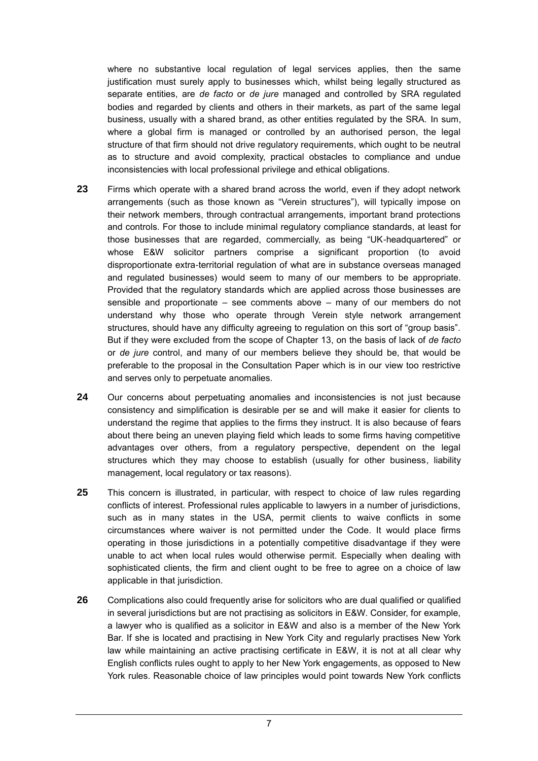where no substantive local regulation of legal services applies, then the same justification must surely apply to businesses which, whilst being legally structured as separate entities, are *de facto* or *de jure* managed and controlled by SRA regulated bodies and regarded by clients and others in their markets, as part of the same legal business, usually with a shared brand, as other entities regulated by the SRA. In sum, where a global firm is managed or controlled by an authorised person, the legal structure of that firm should not drive regulatory requirements, which ought to be neutral as to structure and avoid complexity, practical obstacles to compliance and undue inconsistencies with local professional privilege and ethical obligations.

- **23** Firms which operate with a shared brand across the world, even if they adopt network arrangements (such as those known as "Verein structures"), will typically impose on their network members, through contractual arrangements, important brand protections and controls. For those to include minimal regulatory compliance standards, at least for those businesses that are regarded, commercially, as being "UK-headquartered" or whose E&W solicitor partners comprise a significant proportion (to avoid disproportionate extra-territorial regulation of what are in substance overseas managed and regulated businesses) would seem to many of our members to be appropriate. Provided that the regulatory standards which are applied across those businesses are sensible and proportionate – see comments above – many of our members do not understand why those who operate through Verein style network arrangement structures, should have any difficulty agreeing to regulation on this sort of "group basis". But if they were excluded from the scope of Chapter 13, on the basis of lack of *de facto*  or *de jure* control, and many of our members believe they should be, that would be preferable to the proposal in the Consultation Paper which is in our view too restrictive and serves only to perpetuate anomalies.
- **24** Our concerns about perpetuating anomalies and inconsistencies is not just because consistency and simplification is desirable per se and will make it easier for clients to understand the regime that applies to the firms they instruct. It is also because of fears about there being an uneven playing field which leads to some firms having competitive advantages over others, from a regulatory perspective, dependent on the legal structures which they may choose to establish (usually for other business, liability management, local regulatory or tax reasons).
- **25** This concern is illustrated, in particular, with respect to choice of law rules regarding conflicts of interest. Professional rules applicable to lawyers in a number of jurisdictions, such as in many states in the USA, permit clients to waive conflicts in some circumstances where waiver is not permitted under the Code. It would place firms operating in those jurisdictions in a potentially competitive disadvantage if they were unable to act when local rules would otherwise permit. Especially when dealing with sophisticated clients, the firm and client ought to be free to agree on a choice of law applicable in that jurisdiction.
- **26** Complications also could frequently arise for solicitors who are dual qualified or qualified in several jurisdictions but are not practising as solicitors in E&W. Consider, for example, a lawyer who is qualified as a solicitor in E&W and also is a member of the New York Bar. If she is located and practising in New York City and regularly practises New York law while maintaining an active practising certificate in E&W, it is not at all clear why English conflicts rules ought to apply to her New York engagements, as opposed to New York rules. Reasonable choice of law principles would point towards New York conflicts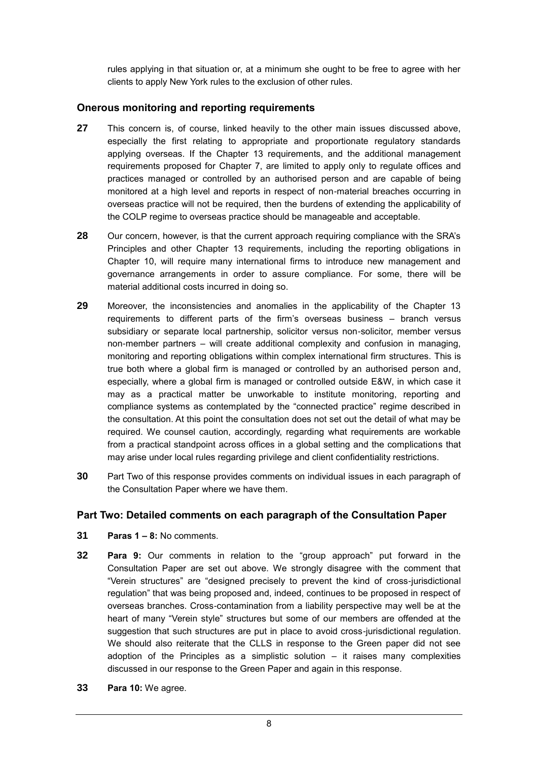rules applying in that situation or, at a minimum she ought to be free to agree with her clients to apply New York rules to the exclusion of other rules.

#### **Onerous monitoring and reporting requirements**

- **27** This concern is, of course, linked heavily to the other main issues discussed above, especially the first relating to appropriate and proportionate regulatory standards applying overseas. If the Chapter 13 requirements, and the additional management requirements proposed for Chapter 7, are limited to apply only to regulate offices and practices managed or controlled by an authorised person and are capable of being monitored at a high level and reports in respect of non-material breaches occurring in overseas practice will not be required, then the burdens of extending the applicability of the COLP regime to overseas practice should be manageable and acceptable.
- **28** Our concern, however, is that the current approach requiring compliance with the SRA's Principles and other Chapter 13 requirements, including the reporting obligations in Chapter 10, will require many international firms to introduce new management and governance arrangements in order to assure compliance. For some, there will be material additional costs incurred in doing so.
- **29** Moreover, the inconsistencies and anomalies in the applicability of the Chapter 13 requirements to different parts of the firm's overseas business – branch versus subsidiary or separate local partnership, solicitor versus non-solicitor, member versus non-member partners – will create additional complexity and confusion in managing, monitoring and reporting obligations within complex international firm structures. This is true both where a global firm is managed or controlled by an authorised person and, especially, where a global firm is managed or controlled outside E&W, in which case it may as a practical matter be unworkable to institute monitoring, reporting and compliance systems as contemplated by the "connected practice" regime described in the consultation. At this point the consultation does not set out the detail of what may be required. We counsel caution, accordingly, regarding what requirements are workable from a practical standpoint across offices in a global setting and the complications that may arise under local rules regarding privilege and client confidentiality restrictions.
- **30** Part Two of this response provides comments on individual issues in each paragraph of the Consultation Paper where we have them.

### **Part Two: Detailed comments on each paragraph of the Consultation Paper**

- **31 Paras 1 – 8:** No comments.
- **32 Para 9:** Our comments in relation to the "group approach" put forward in the Consultation Paper are set out above. We strongly disagree with the comment that "Verein structures" are "designed precisely to prevent the kind of cross-jurisdictional regulation" that was being proposed and, indeed, continues to be proposed in respect of overseas branches. Cross-contamination from a liability perspective may well be at the heart of many "Verein style" structures but some of our members are offended at the suggestion that such structures are put in place to avoid cross-jurisdictional regulation. We should also reiterate that the CLLS in response to the Green paper did not see adoption of the Principles as a simplistic solution – it raises many complexities discussed in our response to the Green Paper and again in this response.
- **33 Para 10:** We agree.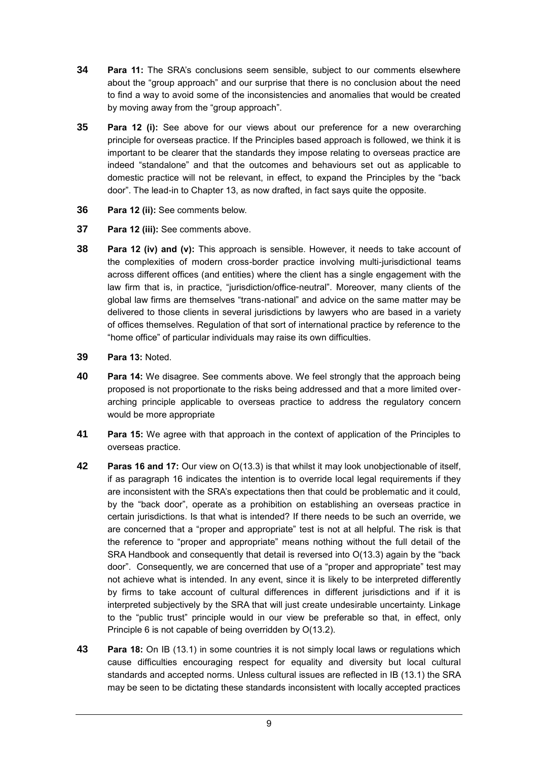- **34 Para 11:** The SRA's conclusions seem sensible, subject to our comments elsewhere about the "group approach" and our surprise that there is no conclusion about the need to find a way to avoid some of the inconsistencies and anomalies that would be created by moving away from the "group approach".
- **35 Para 12 (i):** See above for our views about our preference for a new overarching principle for overseas practice. If the Principles based approach is followed, we think it is important to be clearer that the standards they impose relating to overseas practice are indeed "standalone" and that the outcomes and behaviours set out as applicable to domestic practice will not be relevant, in effect, to expand the Principles by the "back door". The lead-in to Chapter 13, as now drafted, in fact says quite the opposite.
- **36 Para 12 (ii):** See comments below.
- **37 Para 12 (iii):** See comments above.
- **38 Para 12 (iv) and (v):** This approach is sensible. However, it needs to take account of the complexities of modern cross-border practice involving multi-jurisdictional teams across different offices (and entities) where the client has a single engagement with the law firm that is, in practice, "jurisdiction/office-neutral". Moreover, many clients of the global law firms are themselves "trans-national" and advice on the same matter may be delivered to those clients in several jurisdictions by lawyers who are based in a variety of offices themselves. Regulation of that sort of international practice by reference to the "home office" of particular individuals may raise its own difficulties.
- **39 Para 13:** Noted.
- **40 Para 14:** We disagree. See comments above. We feel strongly that the approach being proposed is not proportionate to the risks being addressed and that a more limited overarching principle applicable to overseas practice to address the regulatory concern would be more appropriate
- **41 Para 15:** We agree with that approach in the context of application of the Principles to overseas practice.
- **42 Paras 16 and 17:** Our view on O(13.3) is that whilst it may look unobjectionable of itself, if as paragraph 16 indicates the intention is to override local legal requirements if they are inconsistent with the SRA's expectations then that could be problematic and it could, by the "back door", operate as a prohibition on establishing an overseas practice in certain jurisdictions. Is that what is intended? If there needs to be such an override, we are concerned that a "proper and appropriate" test is not at all helpful. The risk is that the reference to "proper and appropriate" means nothing without the full detail of the SRA Handbook and consequently that detail is reversed into  $O(13.3)$  again by the "back" door". Consequently, we are concerned that use of a "proper and appropriate" test may not achieve what is intended. In any event, since it is likely to be interpreted differently by firms to take account of cultural differences in different jurisdictions and if it is interpreted subjectively by the SRA that will just create undesirable uncertainty. Linkage to the "public trust" principle would in our view be preferable so that, in effect, only Principle 6 is not capable of being overridden by O(13.2).
- **43 Para 18:** On IB (13.1) in some countries it is not simply local laws or regulations which cause difficulties encouraging respect for equality and diversity but local cultural standards and accepted norms. Unless cultural issues are reflected in IB (13.1) the SRA may be seen to be dictating these standards inconsistent with locally accepted practices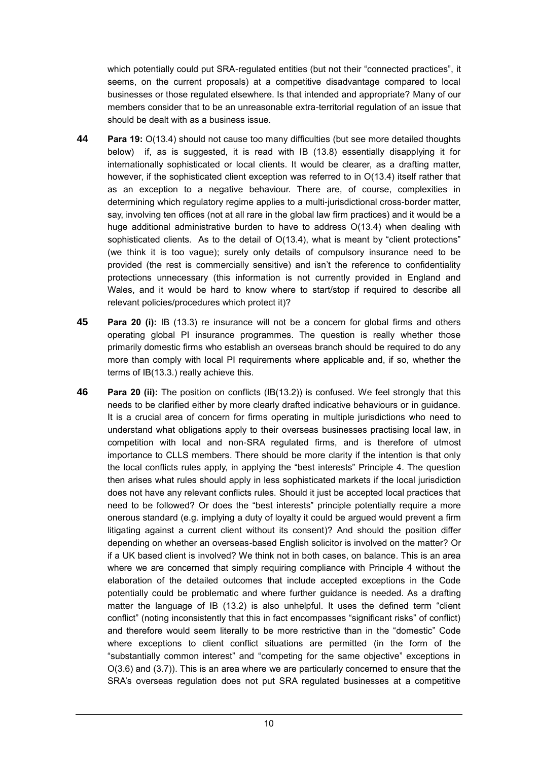which potentially could put SRA-regulated entities (but not their "connected practices", it seems, on the current proposals) at a competitive disadvantage compared to local businesses or those regulated elsewhere. Is that intended and appropriate? Many of our members consider that to be an unreasonable extra-territorial regulation of an issue that should be dealt with as a business issue.

- **44 Para 19:** O(13.4) should not cause too many difficulties (but see more detailed thoughts below) if, as is suggested, it is read with IB (13.8) essentially disapplying it for internationally sophisticated or local clients. It would be clearer, as a drafting matter, however, if the sophisticated client exception was referred to in O(13.4) itself rather that as an exception to a negative behaviour. There are, of course, complexities in determining which regulatory regime applies to a multi-jurisdictional cross-border matter, say, involving ten offices (not at all rare in the global law firm practices) and it would be a huge additional administrative burden to have to address O(13.4) when dealing with sophisticated clients. As to the detail of O(13.4), what is meant by "client protections" (we think it is too vague); surely only details of compulsory insurance need to be provided (the rest is commercially sensitive) and isn't the reference to confidentiality protections unnecessary (this information is not currently provided in England and Wales, and it would be hard to know where to start/stop if required to describe all relevant policies/procedures which protect it)?
- **45 Para 20 (i):** IB (13.3) re insurance will not be a concern for global firms and others operating global PI insurance programmes. The question is really whether those primarily domestic firms who establish an overseas branch should be required to do any more than comply with local PI requirements where applicable and, if so, whether the terms of IB(13.3.) really achieve this.
- **46 Para 20 (ii):** The position on conflicts (IB(13.2)) is confused. We feel strongly that this needs to be clarified either by more clearly drafted indicative behaviours or in guidance. It is a crucial area of concern for firms operating in multiple jurisdictions who need to understand what obligations apply to their overseas businesses practising local law, in competition with local and non-SRA regulated firms, and is therefore of utmost importance to CLLS members. There should be more clarity if the intention is that only the local conflicts rules apply, in applying the "best interests" Principle 4. The question then arises what rules should apply in less sophisticated markets if the local jurisdiction does not have any relevant conflicts rules. Should it just be accepted local practices that need to be followed? Or does the "best interests" principle potentially require a more onerous standard (e.g. implying a duty of loyalty it could be argued would prevent a firm litigating against a current client without its consent)? And should the position differ depending on whether an overseas-based English solicitor is involved on the matter? Or if a UK based client is involved? We think not in both cases, on balance. This is an area where we are concerned that simply requiring compliance with Principle 4 without the elaboration of the detailed outcomes that include accepted exceptions in the Code potentially could be problematic and where further guidance is needed. As a drafting matter the language of IB (13.2) is also unhelpful. It uses the defined term "client conflict" (noting inconsistently that this in fact encompasses "significant risks" of conflict) and therefore would seem literally to be more restrictive than in the "domestic" Code where exceptions to client conflict situations are permitted (in the form of the "substantially common interest" and "competing for the same objective" exceptions in O(3.6) and (3.7)). This is an area where we are particularly concerned to ensure that the SRA's overseas regulation does not put SRA regulated businesses at a competitive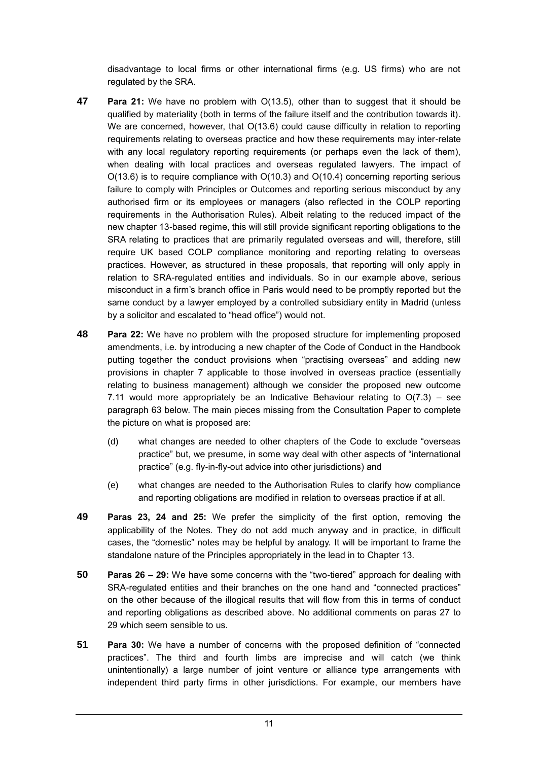disadvantage to local firms or other international firms (e.g. US firms) who are not regulated by the SRA.

- **47 Para 21:** We have no problem with O(13.5), other than to suggest that it should be qualified by materiality (both in terms of the failure itself and the contribution towards it). We are concerned, however, that  $O(13.6)$  could cause difficulty in relation to reporting requirements relating to overseas practice and how these requirements may inter-relate with any local regulatory reporting requirements (or perhaps even the lack of them), when dealing with local practices and overseas regulated lawyers. The impact of O(13.6) is to require compliance with O(10.3) and O(10.4) concerning reporting serious failure to comply with Principles or Outcomes and reporting serious misconduct by any authorised firm or its employees or managers (also reflected in the COLP reporting requirements in the Authorisation Rules). Albeit relating to the reduced impact of the new chapter 13-based regime, this will still provide significant reporting obligations to the SRA relating to practices that are primarily regulated overseas and will, therefore, still require UK based COLP compliance monitoring and reporting relating to overseas practices. However, as structured in these proposals, that reporting will only apply in relation to SRA-regulated entities and individuals. So in our example above, serious misconduct in a firm's branch office in Paris would need to be promptly reported but the same conduct by a lawyer employed by a controlled subsidiary entity in Madrid (unless by a solicitor and escalated to "head office") would not.
- **48 Para 22:** We have no problem with the proposed structure for implementing proposed amendments, i.e. by introducing a new chapter of the Code of Conduct in the Handbook putting together the conduct provisions when "practising overseas" and adding new provisions in chapter 7 applicable to those involved in overseas practice (essentially relating to business management) although we consider the proposed new outcome 7.11 would more appropriately be an Indicative Behaviour relating to  $O(7.3)$  – see paragraph 63 below. The main pieces missing from the Consultation Paper to complete the picture on what is proposed are:
	- (d) what changes are needed to other chapters of the Code to exclude "overseas practice" but, we presume, in some way deal with other aspects of "international practice" (e.g. fly-in-fly-out advice into other jurisdictions) and
	- (e) what changes are needed to the Authorisation Rules to clarify how compliance and reporting obligations are modified in relation to overseas practice if at all.
- **49 Paras 23, 24 and 25:** We prefer the simplicity of the first option, removing the applicability of the Notes. They do not add much anyway and in practice, in difficult cases, the "domestic" notes may be helpful by analogy. It will be important to frame the standalone nature of the Principles appropriately in the lead in to Chapter 13.
- **50 Paras 26 – 29:** We have some concerns with the "two-tiered" approach for dealing with SRA-regulated entities and their branches on the one hand and "connected practices" on the other because of the illogical results that will flow from this in terms of conduct and reporting obligations as described above. No additional comments on paras 27 to 29 which seem sensible to us.
- **51 Para 30:** We have a number of concerns with the proposed definition of "connected practices". The third and fourth limbs are imprecise and will catch (we think unintentionally) a large number of joint venture or alliance type arrangements with independent third party firms in other jurisdictions. For example, our members have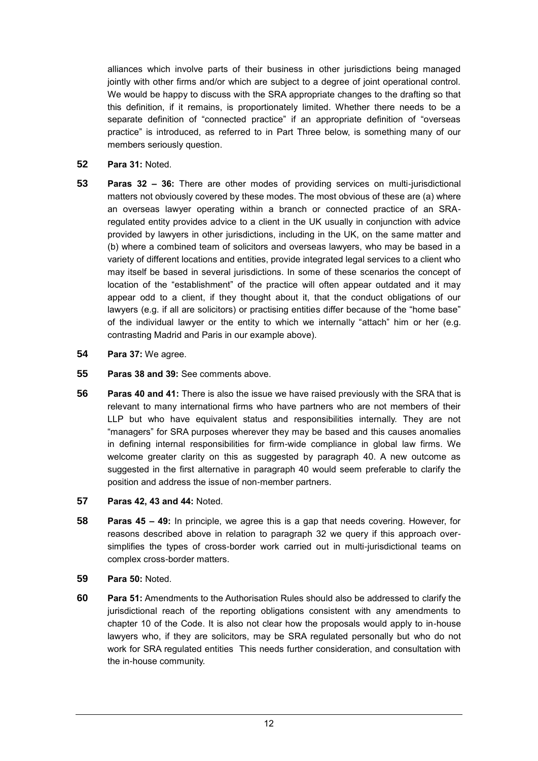alliances which involve parts of their business in other jurisdictions being managed jointly with other firms and/or which are subject to a degree of joint operational control. We would be happy to discuss with the SRA appropriate changes to the drafting so that this definition, if it remains, is proportionately limited. Whether there needs to be a separate definition of "connected practice" if an appropriate definition of "overseas practice" is introduced, as referred to in Part Three below, is something many of our members seriously question.

- **52 Para 31:** Noted.
- **53 Paras 32 – 36:** There are other modes of providing services on multi-jurisdictional matters not obviously covered by these modes. The most obvious of these are (a) where an overseas lawyer operating within a branch or connected practice of an SRAregulated entity provides advice to a client in the UK usually in conjunction with advice provided by lawyers in other jurisdictions, including in the UK, on the same matter and (b) where a combined team of solicitors and overseas lawyers, who may be based in a variety of different locations and entities, provide integrated legal services to a client who may itself be based in several jurisdictions. In some of these scenarios the concept of location of the "establishment" of the practice will often appear outdated and it may appear odd to a client, if they thought about it, that the conduct obligations of our lawyers (e.g. if all are solicitors) or practising entities differ because of the "home base" of the individual lawyer or the entity to which we internally "attach" him or her (e.g. contrasting Madrid and Paris in our example above).
- **54 Para 37:** We agree.
- **55 Paras 38 and 39:** See comments above.
- **56 Paras 40 and 41:** There is also the issue we have raised previously with the SRA that is relevant to many international firms who have partners who are not members of their LLP but who have equivalent status and responsibilities internally. They are not "managers" for SRA purposes wherever they may be based and this causes anomalies in defining internal responsibilities for firm-wide compliance in global law firms. We welcome greater clarity on this as suggested by paragraph 40. A new outcome as suggested in the first alternative in paragraph 40 would seem preferable to clarify the position and address the issue of non-member partners.
- **57 Paras 42, 43 and 44:** Noted.
- **58 Paras 45 – 49:** In principle, we agree this is a gap that needs covering. However, for reasons described above in relation to paragraph 32 we query if this approach oversimplifies the types of cross-border work carried out in multi-jurisdictional teams on complex cross-border matters.
- **59 Para 50:** Noted.
- **60 Para 51:** Amendments to the Authorisation Rules should also be addressed to clarify the jurisdictional reach of the reporting obligations consistent with any amendments to chapter 10 of the Code. It is also not clear how the proposals would apply to in-house lawyers who, if they are solicitors, may be SRA regulated personally but who do not work for SRA regulated entities This needs further consideration, and consultation with the in-house community.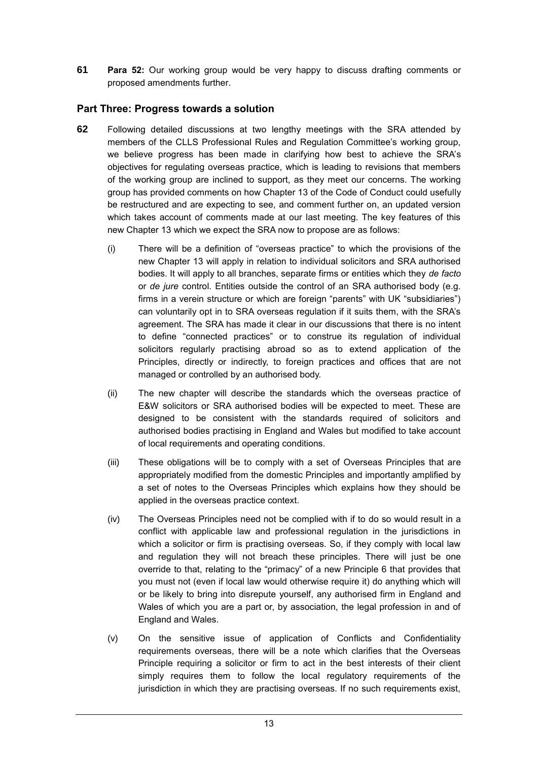**61 Para 52:** Our working group would be very happy to discuss drafting comments or proposed amendments further.

### **Part Three: Progress towards a solution**

- **62** Following detailed discussions at two lengthy meetings with the SRA attended by members of the CLLS Professional Rules and Regulation Committee's working group, we believe progress has been made in clarifying how best to achieve the SRA's objectives for regulating overseas practice, which is leading to revisions that members of the working group are inclined to support, as they meet our concerns. The working group has provided comments on how Chapter 13 of the Code of Conduct could usefully be restructured and are expecting to see, and comment further on, an updated version which takes account of comments made at our last meeting. The key features of this new Chapter 13 which we expect the SRA now to propose are as follows:
	- (i) There will be a definition of "overseas practice" to which the provisions of the new Chapter 13 will apply in relation to individual solicitors and SRA authorised bodies. It will apply to all branches, separate firms or entities which they *de facto* or *de jure* control. Entities outside the control of an SRA authorised body (e.g. firms in a verein structure or which are foreign "parents" with UK "subsidiaries") can voluntarily opt in to SRA overseas regulation if it suits them, with the SRA's agreement. The SRA has made it clear in our discussions that there is no intent to define "connected practices" or to construe its regulation of individual solicitors regularly practising abroad so as to extend application of the Principles, directly or indirectly, to foreign practices and offices that are not managed or controlled by an authorised body.
	- (ii) The new chapter will describe the standards which the overseas practice of E&W solicitors or SRA authorised bodies will be expected to meet. These are designed to be consistent with the standards required of solicitors and authorised bodies practising in England and Wales but modified to take account of local requirements and operating conditions.
	- (iii) These obligations will be to comply with a set of Overseas Principles that are appropriately modified from the domestic Principles and importantly amplified by a set of notes to the Overseas Principles which explains how they should be applied in the overseas practice context.
	- (iv) The Overseas Principles need not be complied with if to do so would result in a conflict with applicable law and professional regulation in the jurisdictions in which a solicitor or firm is practising overseas. So, if they comply with local law and regulation they will not breach these principles. There will just be one override to that, relating to the "primacy" of a new Principle 6 that provides that you must not (even if local law would otherwise require it) do anything which will or be likely to bring into disrepute yourself, any authorised firm in England and Wales of which you are a part or, by association, the legal profession in and of England and Wales.
	- (v) On the sensitive issue of application of Conflicts and Confidentiality requirements overseas, there will be a note which clarifies that the Overseas Principle requiring a solicitor or firm to act in the best interests of their client simply requires them to follow the local regulatory requirements of the jurisdiction in which they are practising overseas. If no such requirements exist,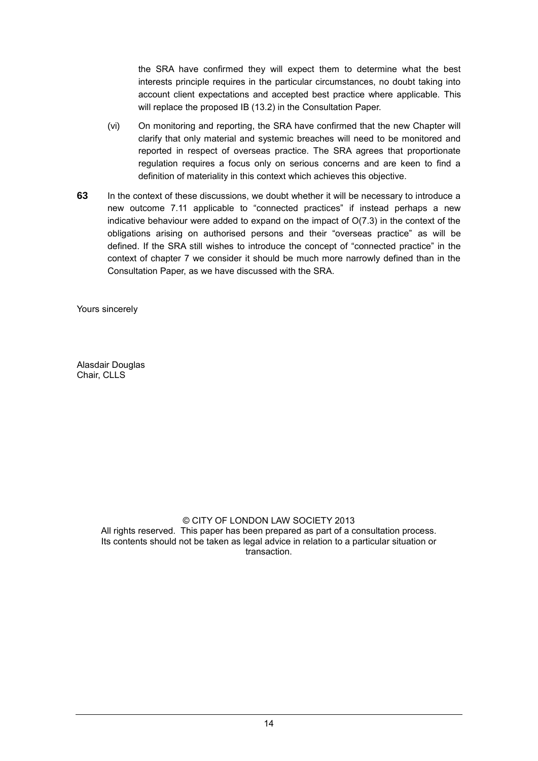the SRA have confirmed they will expect them to determine what the best interests principle requires in the particular circumstances, no doubt taking into account client expectations and accepted best practice where applicable. This will replace the proposed IB (13.2) in the Consultation Paper.

- (vi) On monitoring and reporting, the SRA have confirmed that the new Chapter will clarify that only material and systemic breaches will need to be monitored and reported in respect of overseas practice. The SRA agrees that proportionate regulation requires a focus only on serious concerns and are keen to find a definition of materiality in this context which achieves this objective.
- **63** In the context of these discussions, we doubt whether it will be necessary to introduce a new outcome 7.11 applicable to "connected practices" if instead perhaps a new indicative behaviour were added to expand on the impact of O(7.3) in the context of the obligations arising on authorised persons and their "overseas practice" as will be defined. If the SRA still wishes to introduce the concept of "connected practice" in the context of chapter 7 we consider it should be much more narrowly defined than in the Consultation Paper, as we have discussed with the SRA.

Yours sincerely

Alasdair Douglas Chair, CLLS

#### © CITY OF LONDON LAW SOCIETY 2013

All rights reserved. This paper has been prepared as part of a consultation process. Its contents should not be taken as legal advice in relation to a particular situation or transaction.